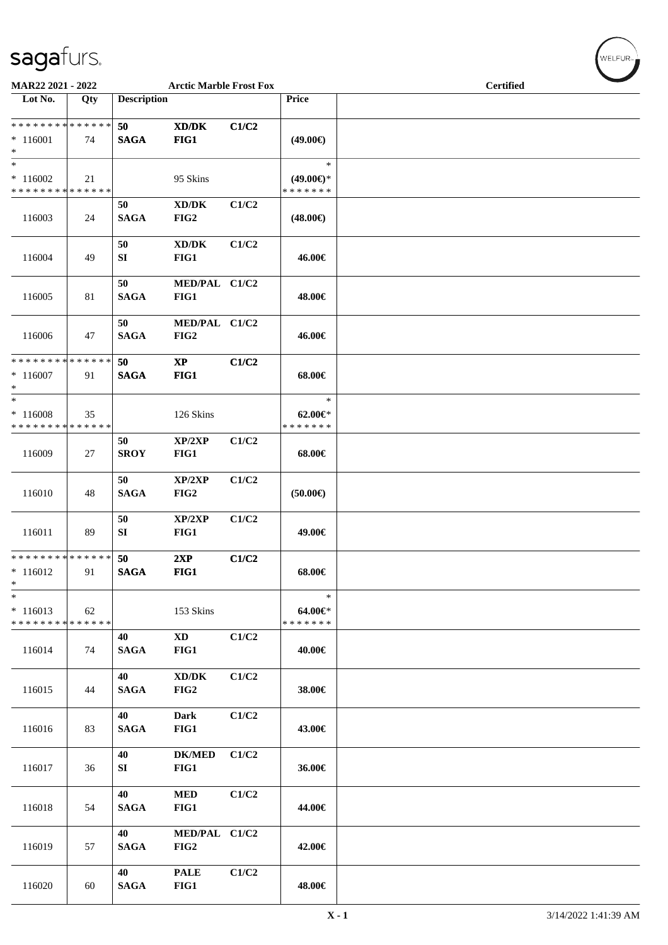| <b>MAR22 2021 - 2022</b>                            |     |                    | <b>Arctic Marble Frost Fox</b>              |       |                                                | <b>Certified</b> | $\overline{\phantom{0}}$ |
|-----------------------------------------------------|-----|--------------------|---------------------------------------------|-------|------------------------------------------------|------------------|--------------------------|
| Lot No.                                             | Qty | <b>Description</b> |                                             |       | Price                                          |                  |                          |
| ******** <mark>******</mark><br>$* 116001$<br>$*$   | 74  | 50<br><b>SAGA</b>  | XD/DK<br>FIG1                               | C1/C2 | $(49.00\epsilon)$                              |                  |                          |
| $\ast$<br>$*116002$<br>* * * * * * * * * * * * * *  | 21  |                    | 95 Skins                                    |       | $\ast$<br>$(49.00\epsilon)$ *<br>* * * * * * * |                  |                          |
| 116003                                              | 24  | 50<br><b>SAGA</b>  | XD/DK<br>FIG2                               | C1/C2 | $(48.00\epsilon)$                              |                  |                          |
| 116004                                              | 49  | 50<br>SI           | XD/DK<br>FIG1                               | C1/C2 | 46.00€                                         |                  |                          |
| 116005                                              | 81  | 50<br><b>SAGA</b>  | MED/PAL C1/C2<br>FIG1                       |       | 48.00€                                         |                  |                          |
| 116006                                              | 47  | 50<br><b>SAGA</b>  | MED/PAL C1/C2<br>FIG2                       |       | 46.00€                                         |                  |                          |
| * * * * * * * * * * * * * * *<br>$*116007$<br>$*$   | 91  | 50<br><b>SAGA</b>  | $\mathbf{X}\mathbf{P}$<br>FIG1              | C1/C2 | 68.00€                                         |                  |                          |
| $*$<br>$*116008$<br>* * * * * * * * * * * * * *     | 35  |                    | 126 Skins                                   |       | $\ast$<br>$62.00 \in$<br>* * * * * * *         |                  |                          |
| 116009                                              | 27  | 50<br><b>SROY</b>  | XP/2XP<br>FIG1                              | C1/C2 | 68.00€                                         |                  |                          |
| 116010                                              | 48  | 50<br><b>SAGA</b>  | XP/2XP<br>FIG2                              | C1/C2 | $(50.00\epsilon)$                              |                  |                          |
| 116011                                              | 89  | 50<br>SI           | XP/2XP<br>FIG1                              | C1/C2 | 49.00€                                         |                  |                          |
| ******** <mark>******</mark><br>$*116012$<br>$\ast$ | 91  | 50<br><b>SAGA</b>  | 2XP<br>FIG1                                 | C1/C2 | 68.00€                                         |                  |                          |
| $\ast$<br>$* 116013$<br>* * * * * * * * * * * * * * | 62  |                    | 153 Skins                                   |       | $\ast$<br>64.00€*<br>* * * * * * *             |                  |                          |
| 116014                                              | 74  | 40<br><b>SAGA</b>  | <b>XD</b><br>FIG1                           | C1/C2 | 40.00€                                         |                  |                          |
| 116015                                              | 44  | 40<br><b>SAGA</b>  | $\bold{X}\bold{D}/\bold{D}\bold{K}$<br>FIG2 | C1/C2 | 38.00€                                         |                  |                          |
| 116016                                              | 83  | 40<br><b>SAGA</b>  | Dark<br>FIG1                                | C1/C2 | 43.00€                                         |                  |                          |
| 116017                                              | 36  | 40<br>SI           | <b>DK/MED</b><br>FIG1                       | C1/C2 | 36.00€                                         |                  |                          |
| 116018                                              | 54  | 40<br><b>SAGA</b>  | $\bf MED$<br>FIG1                           | C1/C2 | 44.00€                                         |                  |                          |
| 116019                                              | 57  | 40<br><b>SAGA</b>  | MED/PAL C1/C2<br>FIG2                       |       | 42.00€                                         |                  |                          |
| 116020                                              | 60  | 40<br><b>SAGA</b>  | <b>PALE</b><br>FIG1                         | C1/C2 | 48.00€                                         |                  |                          |

 $(\forall ELFUR_{\approx})$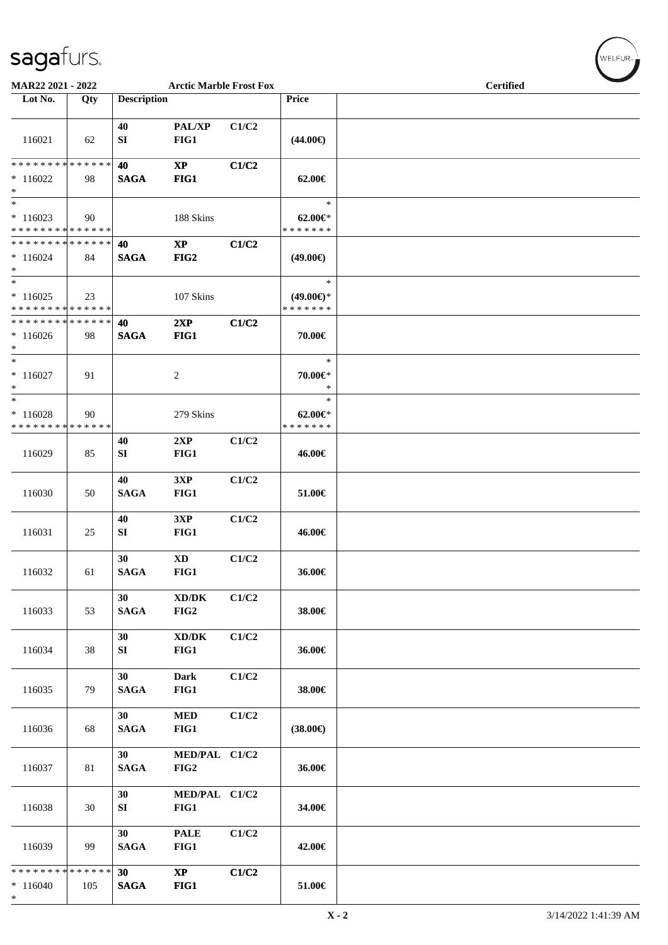| MAR22 2021 - 2022                                                    |     |                                | <b>Arctic Marble Frost Fox</b>              |       |                                                | <b>Certified</b> |
|----------------------------------------------------------------------|-----|--------------------------------|---------------------------------------------|-------|------------------------------------------------|------------------|
| Lot No.                                                              | Qty | <b>Description</b>             |                                             |       | <b>Price</b>                                   |                  |
| 116021                                                               | 62  | 40<br>SI                       | PAL/XP<br>FIG1                              | C1/C2 | $(44.00\epsilon)$                              |                  |
| * * * * * * * * * * * * * *<br>$*116022$<br>$\ast$                   | 98  | 40<br><b>SAGA</b>              | $\mathbf{X}\mathbf{P}$<br>FIG1              | C1/C2 | $62.00 \in$                                    |                  |
| $\overline{\phantom{0}}$<br>$*116023$<br>* * * * * * * * * * * * * * | 90  |                                | 188 Skins                                   |       | $\ast$<br>$62.00 \in$<br>* * * * * * *         |                  |
| * * * * * * * * * * * * * *<br>$*116024$<br>$\ast$                   | 84  | 40<br><b>SAGA</b>              | $\mathbf{X}\mathbf{P}$<br>FIG2              | C1/C2 | $(49.00\epsilon)$                              |                  |
| $\ast$<br>$*116025$<br>* * * * * * * * * * * * * *                   | 23  |                                | 107 Skins                                   |       | $\ast$<br>$(49.00\epsilon)$ *<br>* * * * * * * |                  |
| * * * * * * * * * * * * * *<br>$*116026$<br>$*$                      | 98  | 40<br><b>SAGA</b>              | 2XP<br>FIG1                                 | C1/C2 | 70.00€                                         |                  |
| $\ast$<br>$*116027$<br>$\ast$                                        | 91  |                                | $\overline{c}$                              |       | $\ast$<br>70.00€*<br>$\ast$                    |                  |
| $\ast$<br>$*116028$<br>* * * * * * * * * * * * * *                   | 90  |                                | 279 Skins                                   |       | $\ast$<br>$62.00 \in$ *<br>* * * * * * *       |                  |
| 116029                                                               | 85  | 40<br>SI                       | 2XP<br>FIG1                                 | C1/C2 | 46.00€                                         |                  |
| 116030                                                               | 50  | 40<br><b>SAGA</b>              | 3XP<br>FIG1                                 | C1/C2 | 51.00€                                         |                  |
| 116031                                                               | 25  | 40<br>SI                       | 3XP<br>FIG1                                 | C1/C2 | 46.00€                                         |                  |
| 116032                                                               | 61  | 30<br><b>SAGA</b>              | $\mathbf{X}\mathbf{D}$<br>FIG1              | C1/C2 | 36.00€                                         |                  |
| 116033                                                               | 53  | 30<br><b>SAGA</b>              | XD/DK<br>FIG2                               | C1/C2 | 38.00€                                         |                  |
| 116034                                                               | 38  | 30<br>SI                       | $\bold{X}\bold{D}/\bold{D}\bold{K}$<br>FIG1 | C1/C2 | 36.00€                                         |                  |
| 116035                                                               | 79  | 30 <sup>°</sup><br><b>SAGA</b> | <b>Dark</b><br>FIG1                         | C1/C2 | 38.00€                                         |                  |
| 116036                                                               | 68  | 30 <sup>°</sup><br><b>SAGA</b> | <b>MED</b><br>FIG1                          | C1/C2 | $(38.00\epsilon)$                              |                  |
| 116037                                                               | 81  | 30<br><b>SAGA</b>              | MED/PAL C1/C2<br>FIG2                       |       | 36.00€                                         |                  |
| 116038                                                               | 30  | 30<br>SI                       | MED/PAL C1/C2<br>FIG1                       |       | 34.00€                                         |                  |
| 116039                                                               | 99  | 30<br><b>SAGA</b>              | <b>PALE</b><br>FIG1                         | C1/C2 | 42.00€                                         |                  |
| * * * * * * * * * * * * * *<br>$*116040$<br>$*$                      | 105 | 30 <sup>°</sup><br><b>SAGA</b> | $\mathbf{X}\mathbf{P}$<br>FIG1              | C1/C2 | 51.00€                                         |                  |

 $(w$ ELFUR<sub><sup>n</sub></sub></sub></sup>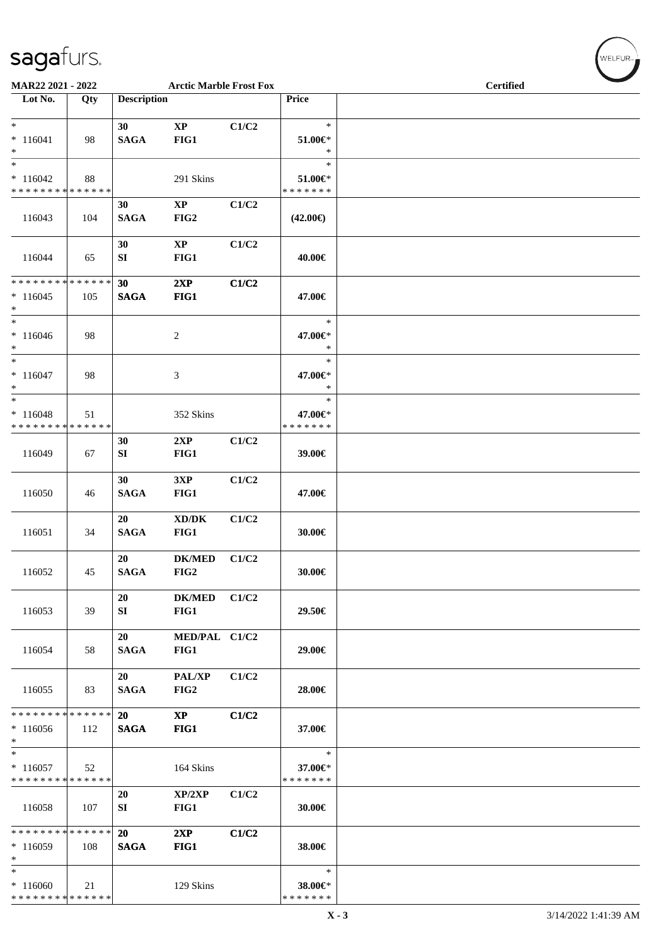| MAR22 2021 - 2022                                   |               |                    | <b>Arctic Marble Frost Fox</b>              |       |                                    | <b>Certified</b> |  |  |  |
|-----------------------------------------------------|---------------|--------------------|---------------------------------------------|-------|------------------------------------|------------------|--|--|--|
| Lot No.                                             | Qty           | <b>Description</b> |                                             |       | Price                              |                  |  |  |  |
| $\overline{\ast}$<br>$* 116041$<br>$\ast$           | 98            | 30<br><b>SAGA</b>  | $\mathbf{X}\mathbf{P}$<br>FIG1              | C1/C2 | $\ast$<br>$51.00 \in$<br>$\ast$    |                  |  |  |  |
| $\ast$<br>$*116042$<br>* * * * * * * * * * * * * *  | 88            |                    | 291 Skins                                   |       | $\ast$<br>51.00€*<br>* * * * * * * |                  |  |  |  |
| 116043                                              | 104           | 30<br><b>SAGA</b>  | $\mathbf{XP}$<br>FIG2                       | C1/C2 | $(42.00\epsilon)$                  |                  |  |  |  |
| 116044                                              | 65            | 30<br>SI           | $\mathbf{X}\mathbf{P}$<br>FIG1              | C1/C2 | 40.00€                             |                  |  |  |  |
| * * * * * * * * * * * * * *<br>$*116045$<br>$*$     | 105           | 30<br><b>SAGA</b>  | 2XP<br>FIG1                                 | C1/C2 | 47.00€                             |                  |  |  |  |
| $*$<br>$* 116046$<br>$*$                            | 98            |                    | 2                                           |       | $\ast$<br>47.00€*<br>$\ast$        |                  |  |  |  |
| $\ast$<br>$* 116047$<br>$*$                         | 98            |                    | 3                                           |       | $\ast$<br>47.00€*<br>$\ast$        |                  |  |  |  |
| $\ast$<br>$* 116048$<br>* * * * * * * * * * * * * * | 51            |                    | 352 Skins                                   |       | $\ast$<br>47.00€*<br>* * * * * * * |                  |  |  |  |
| 116049                                              | 67            | 30<br>SI           | 2XP<br>FIG1                                 | C1/C2 | 39.00€                             |                  |  |  |  |
| 116050                                              | 46            | 30<br><b>SAGA</b>  | 3XP<br>FIG1                                 | C1/C2 | 47.00€                             |                  |  |  |  |
| 116051                                              | 34            | 20<br><b>SAGA</b>  | $\bold{X}\bold{D}/\bold{D}\bold{K}$<br>FIG1 | C1/C2 | 30.00€                             |                  |  |  |  |
| 116052                                              | 45            | 20<br><b>SAGA</b>  | <b>DK/MED</b><br>FIG2                       | C1/C2 | 30.00€                             |                  |  |  |  |
| 116053                                              | 39            | 20<br>SI           | <b>DK/MED</b><br>FIG1                       | C1/C2 | 29.50€                             |                  |  |  |  |
| 116054                                              | 58            | 20<br><b>SAGA</b>  | MED/PAL C1/C2<br>FIG1                       |       | 29.00€                             |                  |  |  |  |
| 116055                                              | 83            | 20<br><b>SAGA</b>  | <b>PAL/XP</b><br>FIG2                       | C1/C2 | 28.00€                             |                  |  |  |  |
| * * * * * * * *<br>$*116056$<br>$\ast$              | ******<br>112 | 20<br><b>SAGA</b>  | $\mathbf{XP}$<br>FIG1                       | C1/C2 | 37.00€                             |                  |  |  |  |
| $\ast$<br>$*116057$<br>* * * * * * * * * * * * * *  | 52            |                    | 164 Skins                                   |       | $\ast$<br>37.00€*<br>* * * * * * * |                  |  |  |  |
| 116058                                              | 107           | 20<br>SI           | XP/2XP<br>FIG1                              | C1/C2 | 30.00€                             |                  |  |  |  |
| * * * * * * * * * * * * * *<br>$*116059$<br>$\ast$  | 108           | 20<br><b>SAGA</b>  | 2XP<br>FIG1                                 | C1/C2 | 38.00€                             |                  |  |  |  |
| $\ast$<br>$*116060$<br>* * * * * * * * * * * * * *  | 21            |                    | 129 Skins                                   |       | $\ast$<br>38.00€*<br>* * * * * * * |                  |  |  |  |

 $w$ ELFUR-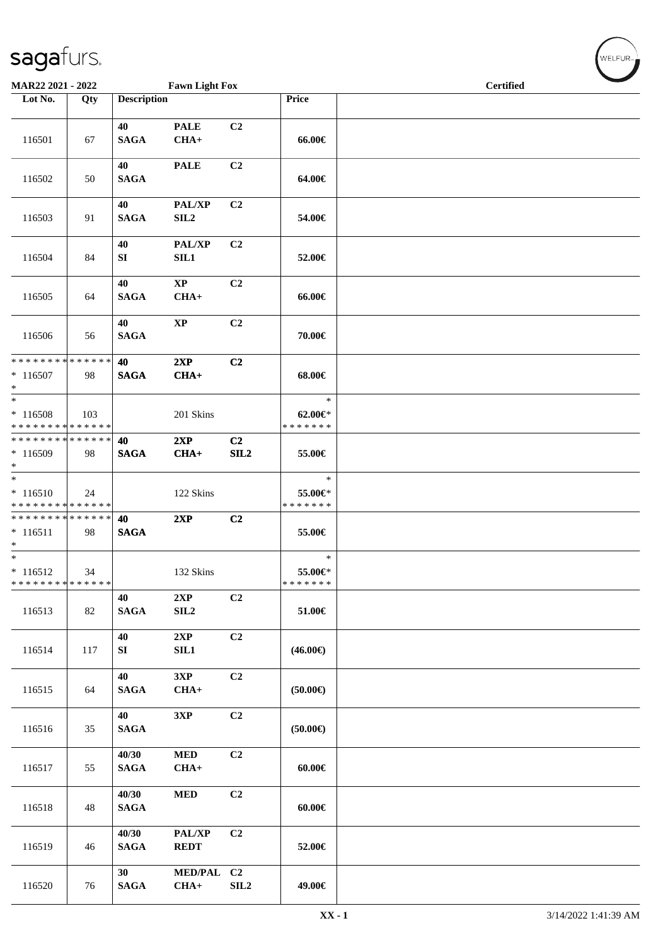| MAR22 2021 - 2022                                   |     |                       | <b>Fawn Light Fox</b>      |                       |                                          | $\overline{\phantom{a}}$<br><b>Certified</b> |  |  |  |  |
|-----------------------------------------------------|-----|-----------------------|----------------------------|-----------------------|------------------------------------------|----------------------------------------------|--|--|--|--|
| Lot No.                                             | Qty | <b>Description</b>    |                            |                       | <b>Price</b>                             |                                              |  |  |  |  |
| 116501                                              | 67  | 40<br><b>SAGA</b>     | <b>PALE</b><br>$CHA+$      | C2                    | 66.00€                                   |                                              |  |  |  |  |
| 116502                                              | 50  | 40<br><b>SAGA</b>     | <b>PALE</b>                | C <sub>2</sub>        | 64.00€                                   |                                              |  |  |  |  |
| 116503                                              | 91  | 40<br><b>SAGA</b>     | PAL/XP<br>SIL <sub>2</sub> | C <sub>2</sub>        | 54.00€                                   |                                              |  |  |  |  |
| 116504                                              | 84  | 40<br>SI              | <b>PAL/XP</b><br>SIL1      | C2                    | 52.00€                                   |                                              |  |  |  |  |
| 116505                                              | 64  | 40<br><b>SAGA</b>     | $\mathbf{XP}$<br>$CHA+$    | C2                    | 66.00€                                   |                                              |  |  |  |  |
| 116506                                              | 56  | 40<br><b>SAGA</b>     | $\bold{XP}$                | C2                    | 70.00€                                   |                                              |  |  |  |  |
| ******** <mark>******</mark><br>$* 116507$<br>$*$   | 98  | 40<br><b>SAGA</b>     | 2XP<br>$CHA+$              | C2                    | 68.00€                                   |                                              |  |  |  |  |
| $*$<br>$*116508$<br>* * * * * * * * * * * * * *     | 103 |                       | 201 Skins                  |                       | $\ast$<br>$62.00 \in$<br>* * * * * * *   |                                              |  |  |  |  |
| * * * * * * * * * * * * * * *<br>$*116509$<br>$*$   | 98  | 40<br><b>SAGA</b>     | 2XP<br>$CHA+$              | C <sub>2</sub><br>SL2 | 55.00€                                   |                                              |  |  |  |  |
| $*$<br>$* 116510$<br>* * * * * * * * * * * * * *    | 24  |                       | 122 Skins                  |                       | $\ast$<br>55.00€*<br>* * * * * * *       |                                              |  |  |  |  |
| ******** <mark>******</mark><br>$* 116511$<br>$*$   | 98  | 40<br><b>SAGA</b>     | 2XP                        | C2                    | 55.00€                                   |                                              |  |  |  |  |
| $\ast$<br>$* 116512$<br>* * * * * * * * * * * * * * | 34  |                       | 132 Skins                  |                       | $\ast$<br>55.00 $\in$ *<br>* * * * * * * |                                              |  |  |  |  |
| 116513                                              | 82  | 40<br>$\mathbf{SAGA}$ | 2XP<br>SLL2                | C <sub>2</sub>        | $51.00\in$                               |                                              |  |  |  |  |
| 116514                                              | 117 | 40<br>SI              | 2XP<br>SL1                 | C2                    | $(46.00\epsilon)$                        |                                              |  |  |  |  |
| 116515                                              | 64  | 40<br><b>SAGA</b>     | 3XP<br>$CHA+$              | C2                    | (50.00)                                  |                                              |  |  |  |  |
| 116516                                              | 35  | 40<br><b>SAGA</b>     | 3XP                        | C2                    | $(50.00\epsilon)$                        |                                              |  |  |  |  |
| 116517                                              | 55  | 40/30<br><b>SAGA</b>  | $\bf MED$<br>$CHA+$        | C2                    | $60.00 \in$                              |                                              |  |  |  |  |
| 116518                                              | 48  | 40/30<br><b>SAGA</b>  | $\bf MED$                  | C2                    | $60.00 \in$                              |                                              |  |  |  |  |
| 116519                                              | 46  | 40/30<br><b>SAGA</b>  | PAL/XP<br><b>REDT</b>      | C2                    | 52.00€                                   |                                              |  |  |  |  |
| 116520                                              | 76  | 30<br><b>SAGA</b>     | MED/PAL C2<br>$CHA+$       | SLL2                  | 49.00€                                   |                                              |  |  |  |  |

 $w$ ELFUR-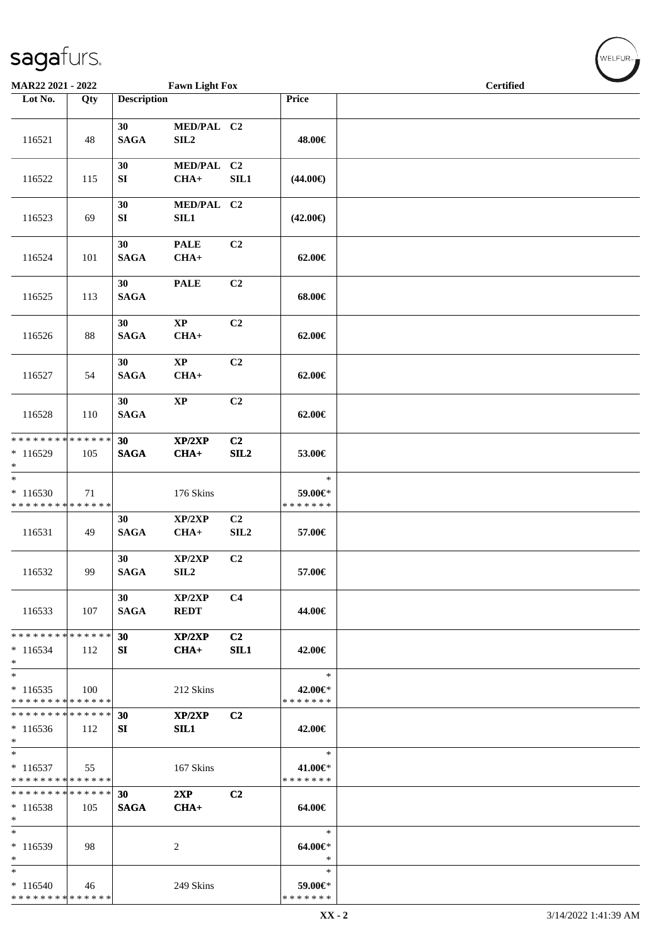| MAR22 2021 - 2022                                                    |     |                    | <b>Fawn Light Fox</b>          |                       |                                    | <b>Certified</b> |
|----------------------------------------------------------------------|-----|--------------------|--------------------------------|-----------------------|------------------------------------|------------------|
| Lot No.                                                              | Qty | <b>Description</b> |                                |                       | Price                              |                  |
| 116521                                                               | 48  | 30<br><b>SAGA</b>  | MED/PAL C2<br>SIL <sub>2</sub> |                       | 48.00€                             |                  |
| 116522                                                               | 115 | 30<br>SI           | MED/PAL C2<br>$CHA+$           | SL1                   | $(44.00\epsilon)$                  |                  |
| 116523                                                               | 69  | 30<br>SI           | MED/PAL C2<br>SL1              |                       | $(42.00\epsilon)$                  |                  |
| 116524                                                               | 101 | 30<br><b>SAGA</b>  | <b>PALE</b><br>$CHA+$          | C2                    | 62.00€                             |                  |
| 116525                                                               | 113 | 30<br><b>SAGA</b>  | <b>PALE</b>                    | C2                    | 68.00€                             |                  |
| 116526                                                               | 88  | 30<br><b>SAGA</b>  | $\bold{XP}$<br>$CHA+$          | C2                    | 62.00€                             |                  |
| 116527                                                               | 54  | 30<br><b>SAGA</b>  | $\bold{XP}$<br>$CHA+$          | C2                    | $62.00 \in$                        |                  |
| 116528                                                               | 110 | 30<br><b>SAGA</b>  | $\bold{XP}$                    | C2                    | $62.00 \in$                        |                  |
| * * * * * * * * * * * * * * *<br>* 116529<br>$\ast$                  | 105 | 30<br><b>SAGA</b>  | XP/2XP<br>$CHA+$               | C <sub>2</sub><br>SL2 | 53.00€                             |                  |
| $\overline{\phantom{0}}$<br>$*116530$<br>* * * * * * * * * * * * * * | 71  |                    | 176 Skins                      |                       | $\ast$<br>59.00€*<br>* * * * * * * |                  |
| 116531                                                               | 49  | 30<br><b>SAGA</b>  | XP/2XP<br>$CHA+$               | C2<br>SLL2            | 57.00€                             |                  |
| 116532                                                               | 99  | 30<br><b>SAGA</b>  | XP/2XP<br>SL2                  | C2                    | 57.00€                             |                  |
| 116533                                                               | 107 | 30<br><b>SAGA</b>  | XP/2XP<br><b>REDT</b>          | C <sub>4</sub>        | 44.00€                             |                  |
| * * * * * * * * * * * * * * *<br>$*116534$<br>$*$                    | 112 | 30<br>SI           | XP/2XP<br>$CHA+$               | C2<br>SIL1            | 42.00€                             |                  |
| $*$<br>$*116535$<br>* * * * * * * * * * * * * *                      | 100 |                    | 212 Skins                      |                       | $\ast$<br>42.00€*<br>* * * * * * * |                  |
| * * * * * * * * * * * * * *<br>$*116536$<br>$*$                      | 112 | 30<br>SI           | XP/2XP<br>SIL1                 | C <sub>2</sub>        | 42.00€                             |                  |
| $*$<br>$*116537$<br>* * * * * * * * * * * * * *                      | 55  |                    | 167 Skins                      |                       | $\ast$<br>41.00€*<br>* * * * * * * |                  |
| * * * * * * * * * * * * * *<br>$*116538$<br>$*$                      | 105 | 30<br><b>SAGA</b>  | 2XP<br>$CHA+$                  | C <sub>2</sub>        | 64.00€                             |                  |
| $\ast$<br>$*116539$<br>$*$                                           | 98  |                    | 2                              |                       | $\ast$<br>64.00€*<br>$\ast$        |                  |
| $\ast$<br>$*116540$<br>* * * * * * * * * * * * * *                   | 46  |                    | 249 Skins                      |                       | ∗<br>59.00€*<br>* * * * * * *      |                  |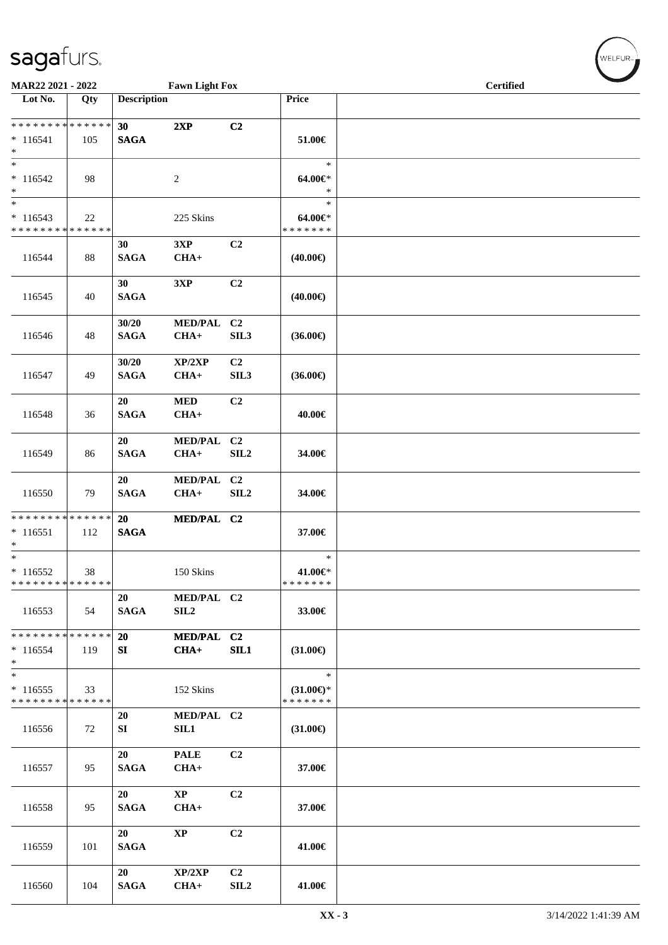| MAR22 2021 - 2022                                  |     |                      | <b>Fawn Light Fox</b>            |                                    |                                                | <b>Certified</b> |  |  |  |
|----------------------------------------------------|-----|----------------------|----------------------------------|------------------------------------|------------------------------------------------|------------------|--|--|--|
| Lot No.                                            | Qty | <b>Description</b>   |                                  |                                    | Price                                          |                  |  |  |  |
| * * * * * * * * * * * * * *<br>$* 116541$          | 105 | 30<br><b>SAGA</b>    | 2XP                              | C2                                 | 51.00€                                         |                  |  |  |  |
| $\ast$<br>$\ast$<br>$* 116542$<br>$*$              | 98  |                      | 2                                |                                    | $\ast$<br>64.00€*<br>$\ast$                    |                  |  |  |  |
| $\ast$<br>$*116543$<br>* * * * * * * * * * * * * * | 22  |                      | 225 Skins                        |                                    | $\ast$<br>64.00€*<br>* * * * * * *             |                  |  |  |  |
| 116544                                             | 88  | 30<br><b>SAGA</b>    | 3XP<br>$CHA+$                    | C <sub>2</sub>                     | $(40.00\epsilon)$                              |                  |  |  |  |
| 116545                                             | 40  | 30<br><b>SAGA</b>    | 3XP                              | C2                                 | $(40.00\epsilon)$                              |                  |  |  |  |
| 116546                                             | 48  | 30/20<br><b>SAGA</b> | MED/PAL C2<br>$CHA+$             | SIL <sub>3</sub>                   | $(36.00\epsilon)$                              |                  |  |  |  |
| 116547                                             | 49  | 30/20<br><b>SAGA</b> | XP/2XP<br>$CHA+$                 | C <sub>2</sub><br>SIL <sub>3</sub> | $(36.00\epsilon)$                              |                  |  |  |  |
| 116548                                             | 36  | 20<br><b>SAGA</b>    | <b>MED</b><br>$CHA+$             | C <sub>2</sub>                     | 40.00€                                         |                  |  |  |  |
| 116549                                             | 86  | 20<br><b>SAGA</b>    | <b>MED/PAL</b><br>$CHA+$         | C <sub>2</sub><br>SLL2             | 34.00€                                         |                  |  |  |  |
| 116550                                             | 79  | 20<br><b>SAGA</b>    | <b>MED/PAL</b><br>$CHA+$         | C2<br>SIL <sub>2</sub>             | 34.00€                                         |                  |  |  |  |
| ******** <mark>******</mark><br>$*116551$<br>$*$   | 112 | 20<br><b>SAGA</b>    | MED/PAL C2                       |                                    | 37.00€                                         |                  |  |  |  |
| $*$<br>$*116552$<br>******** <mark>******</mark>   | 38  |                      | 150 Skins                        |                                    | $\ast$<br>$41.00 \in$<br>* * * * * * *         |                  |  |  |  |
| 116553                                             | 54  | 20<br><b>SAGA</b>    | MED/PAL C2<br>SIL <sub>2</sub>   |                                    | 33.00€                                         |                  |  |  |  |
| ******** <mark>******</mark><br>$*116554$<br>$*$   | 119 | 20<br>SI             | MED/PAL C2<br>$CHA+$             | SIL1                               | $(31.00\epsilon)$                              |                  |  |  |  |
| $\ast$<br>$*116555$<br>* * * * * * * * * * * * * * | 33  |                      | 152 Skins                        |                                    | $\ast$<br>$(31.00\epsilon)$ *<br>* * * * * * * |                  |  |  |  |
| 116556                                             | 72  | 20<br>SI             | MED/PAL C2<br>SIL1               |                                    | $(31.00\epsilon)$                              |                  |  |  |  |
| 116557                                             | 95  | 20<br><b>SAGA</b>    | <b>PALE</b><br>$CHA+$            | C <sub>2</sub>                     | 37.00€                                         |                  |  |  |  |
| 116558                                             | 95  | 20<br><b>SAGA</b>    | $\mathbf{X}\mathbf{P}$<br>$CHA+$ | C2                                 | 37.00€                                         |                  |  |  |  |
| 116559                                             | 101 | 20<br><b>SAGA</b>    | $\mathbf{XP}$                    | C2                                 | 41.00€                                         |                  |  |  |  |
| 116560                                             | 104 | 20<br><b>SAGA</b>    | XP/2XP<br>$CHA+$                 | C <sub>2</sub><br>SIL <sub>2</sub> | 41.00€                                         |                  |  |  |  |

 $w$ ELFUR<sub>m</sub>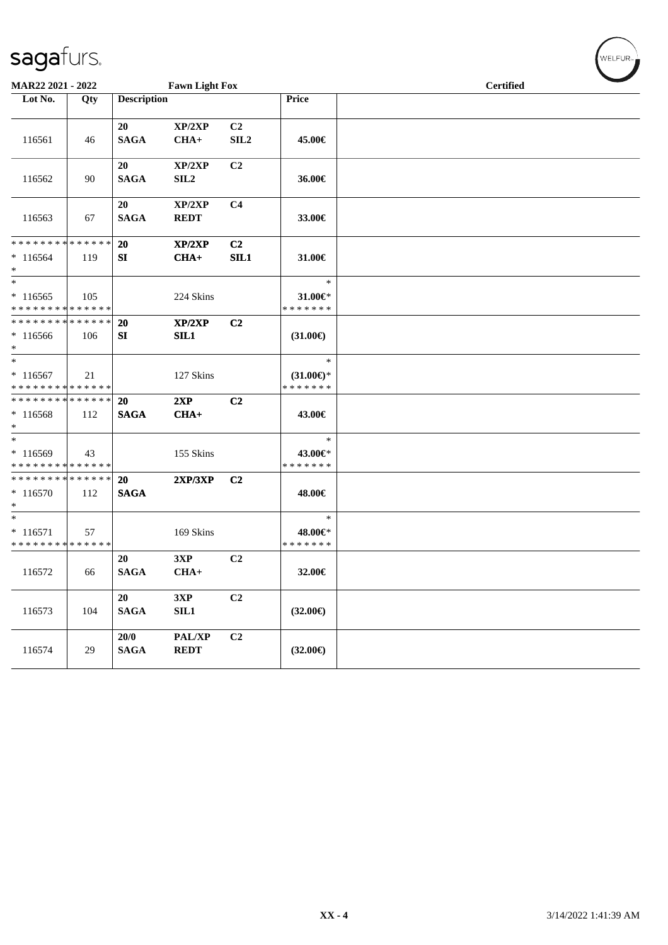| <b>MAR22 2021 - 2022</b>                                                  |     |                     | <b>Fawn Light Fox</b>      |                  |                                            | <b>Certified</b> |  |  |  |  |
|---------------------------------------------------------------------------|-----|---------------------|----------------------------|------------------|--------------------------------------------|------------------|--|--|--|--|
| Lot No.                                                                   | Qty | <b>Description</b>  |                            |                  | Price                                      |                  |  |  |  |  |
|                                                                           |     | 20                  | XP/2XP                     | C <sub>2</sub>   |                                            |                  |  |  |  |  |
| 116561                                                                    | 46  | <b>SAGA</b>         | $CHA+$                     | SIL <sub>2</sub> | 45.00€                                     |                  |  |  |  |  |
| 116562                                                                    | 90  | 20<br><b>SAGA</b>   | XP/2XP<br>SIL <sub>2</sub> | C <sub>2</sub>   | 36.00€                                     |                  |  |  |  |  |
|                                                                           |     |                     |                            |                  |                                            |                  |  |  |  |  |
| 116563                                                                    | 67  | 20<br><b>SAGA</b>   | XP/2XP<br><b>REDT</b>      | C <sub>4</sub>   | 33.00€                                     |                  |  |  |  |  |
| * * * * * * * * * * * * * *                                               |     | <b>20</b>           | XP/2XP                     | C <sub>2</sub>   |                                            |                  |  |  |  |  |
| $*116564$<br>$*$                                                          | 119 | SI                  | $CHA+$                     | SL1              | 31.00€                                     |                  |  |  |  |  |
| $*$                                                                       |     |                     |                            |                  | $\ast$                                     |                  |  |  |  |  |
| $*116565$                                                                 | 105 |                     | 224 Skins                  |                  | 31.00€*                                    |                  |  |  |  |  |
| * * * * * * * * * * * * * *<br>* * * * * * * * <mark>* * * * * * *</mark> |     | <b>20</b>           | XP/2XP                     | C <sub>2</sub>   | * * * * * * *                              |                  |  |  |  |  |
| $*116566$                                                                 | 106 | SI                  | SIL1                       |                  | $(31.00\epsilon)$                          |                  |  |  |  |  |
| $*$                                                                       |     |                     |                            |                  |                                            |                  |  |  |  |  |
| $*$                                                                       |     |                     |                            |                  | $\ast$                                     |                  |  |  |  |  |
| $*116567$                                                                 | 21  |                     | 127 Skins                  |                  | $(31.00 \in \mathcal{F})$<br>* * * * * * * |                  |  |  |  |  |
| * * * * * * * * * * * * * *<br>* * * * * * * * * * * * * * *              |     | <b>20</b>           | 2XP                        | C2               |                                            |                  |  |  |  |  |
| * 116568<br>$*$                                                           | 112 | <b>SAGA</b>         | $CHA+$                     |                  | 43.00€                                     |                  |  |  |  |  |
| $*$                                                                       |     |                     |                            |                  | $\ast$                                     |                  |  |  |  |  |
| * 116569                                                                  | 43  |                     | 155 Skins                  |                  | 43.00€*                                    |                  |  |  |  |  |
| * * * * * * * * * * * * * *                                               |     |                     |                            |                  | * * * * * * *                              |                  |  |  |  |  |
| * * * * * * * * * * * * * *<br>$*116570$<br>$*$                           | 112 | 20<br><b>SAGA</b>   | 2XP/3XP                    | C <sub>2</sub>   | 48.00€                                     |                  |  |  |  |  |
| $*$                                                                       |     |                     |                            |                  | $\ast$                                     |                  |  |  |  |  |
| $* 116571$<br>* * * * * * * * * * * * * *                                 | 57  |                     | 169 Skins                  |                  | 48.00€*<br>* * * * * * *                   |                  |  |  |  |  |
|                                                                           |     | 20                  | 3XP                        | C2               |                                            |                  |  |  |  |  |
| 116572                                                                    | 66  | <b>SAGA</b>         | $CHA+$                     |                  | 32.00€                                     |                  |  |  |  |  |
| 116573                                                                    | 104 | 20<br><b>SAGA</b>   | 3XP<br>SIL1                | C2               | $(32.00\epsilon)$                          |                  |  |  |  |  |
| 116574                                                                    | 29  | 20/0<br><b>SAGA</b> | PAL/XP<br><b>REDT</b>      | C <sub>2</sub>   | $(32.00\epsilon)$                          |                  |  |  |  |  |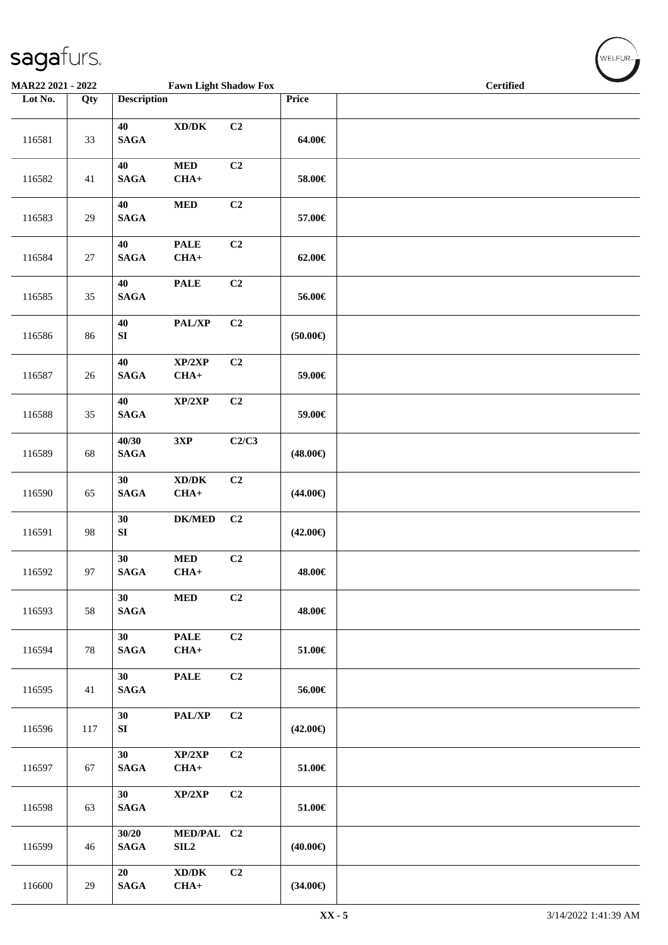| MAR22 2021 - 2022 |        |                       | <b>Fawn Light Shadow Fox</b>                          |                |                   | <b>Certified</b> |
|-------------------|--------|-----------------------|-------------------------------------------------------|----------------|-------------------|------------------|
| Lot No.           | Qty    | <b>Description</b>    |                                                       |                | Price             |                  |
| 116581            | 33     | 40<br><b>SAGA</b>     | $\mathbf{X}\mathbf{D}/\mathbf{D}\mathbf{K}$           | C <sub>2</sub> | 64.00€            |                  |
| 116582            | 41     | 40<br><b>SAGA</b>     | $\bf MED$<br>$CHA+$                                   | C <sub>2</sub> | 58.00€            |                  |
| 116583            | 29     | 40<br><b>SAGA</b>     | $\bf MED$                                             | C <sub>2</sub> | 57.00€            |                  |
| 116584            | $27\,$ | 40<br>$\mathbf{SAGA}$ | <b>PALE</b><br>$CHA+$                                 | C <sub>2</sub> | $62.00 \in$       |                  |
| 116585            | 35     | 40<br><b>SAGA</b>     | <b>PALE</b>                                           | C2             | 56.00€            |                  |
| 116586            | 86     | 40<br>SI              | PAL/XP                                                | C <sub>2</sub> | $(50.00\epsilon)$ |                  |
| 116587            | 26     | 40<br><b>SAGA</b>     | XP/2XP<br>$CHA+$                                      | C <sub>2</sub> | 59.00€            |                  |
| 116588            | 35     | 40<br>$\mathbf{SAGA}$ | $\mathbf{XP}/2\mathbf{XP}$                            | C2             | 59.00€            |                  |
| 116589            | 68     | 40/30<br><b>SAGA</b>  | $3{\bf X}{\bf P}$                                     | C2/C3          | $(48.00\epsilon)$ |                  |
| 116590            | 65     | 30<br>$\mathbf{SAGA}$ | $\bold{X}\bold{D}/\bold{D}\bold{K}$<br>$CHA+$         | C2             | $(44.00\epsilon)$ |                  |
| 116591            | 98     | 30<br>SI              | $DK/MED$                                              | C2             | $(42.00\epsilon)$ |                  |
| 116592            | 97     | 30<br><b>SAGA</b>     | <b>MED</b><br>$CHA+$                                  | C <sub>2</sub> | 48.00€            |                  |
| 116593            | 58     | 30<br>$\mathbf{SAGA}$ | $\bf MED$                                             | C2             | 48.00€            |                  |
| 116594            | 78     | 30<br>$\mathbf{SAGA}$ | <b>PALE</b><br>$CHA+$                                 | C2             | 51.00€            |                  |
| 116595            | 41     | 30<br>$\mathbf{SAGA}$ | <b>PALE</b>                                           | C <sub>2</sub> | 56.00€            |                  |
| 116596            | 117    | 30<br>${\bf SI}$      | PAL/XP                                                | C2             | $(42.00\epsilon)$ |                  |
| 116597            | 67     | 30<br><b>SAGA</b>     | XP/2XP<br>$CHA+$                                      | C2             | 51.00€            |                  |
| 116598            | 63     | 30<br><b>SAGA</b>     | XP/2XP                                                | C2             | 51.00€            |                  |
| 116599            | 46     | 30/20<br><b>SAGA</b>  | MED/PAL C2<br>SIL <sub>2</sub>                        |                | $(40.00\epsilon)$ |                  |
| 116600            | 29     | 20<br>$\mathbf{SAGA}$ | $\mathbf{X}\mathbf{D}/\mathbf{D}\mathbf{K}$<br>$CHA+$ | C2             | $(34.00\epsilon)$ |                  |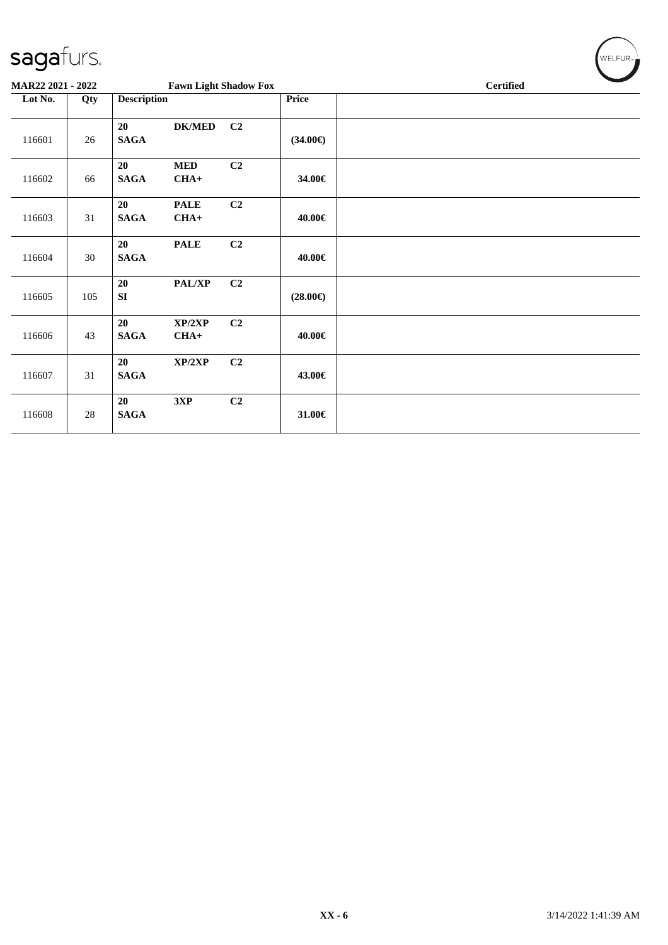| MAR22 2021 - 2022 |     |                    | <b>Fawn Light Shadow Fox</b> |    |                   | <b>Certified</b> |
|-------------------|-----|--------------------|------------------------------|----|-------------------|------------------|
| Lot No.           | Qty | <b>Description</b> |                              |    | Price             |                  |
| 116601            | 26  | 20<br><b>SAGA</b>  | <b>DK/MED</b>                | C2 | $(34.00\epsilon)$ |                  |
| 116602            | 66  | 20<br><b>SAGA</b>  | <b>MED</b><br>$CHA+$         | C2 | 34.00€            |                  |
| 116603            | 31  | 20<br><b>SAGA</b>  | <b>PALE</b><br>$CHA+$        | C2 | 40.00€            |                  |
| 116604            | 30  | 20<br><b>SAGA</b>  | <b>PALE</b>                  | C2 | 40.00€            |                  |
| 116605            | 105 | 20<br>SI           | PAL/XP                       | C2 | $(28.00\epsilon)$ |                  |
| 116606            | 43  | 20<br><b>SAGA</b>  | XP/2XP<br>$CHA+$             | C2 | 40.00€            |                  |
| 116607            | 31  | 20<br><b>SAGA</b>  | XP/2XP                       | C2 | 43.00€            |                  |
| 116608            | 28  | 20<br><b>SAGA</b>  | 3XP                          | C2 | 31.00€            |                  |

 $\left(\bigvee_{w \in \text{LFUR}_w}$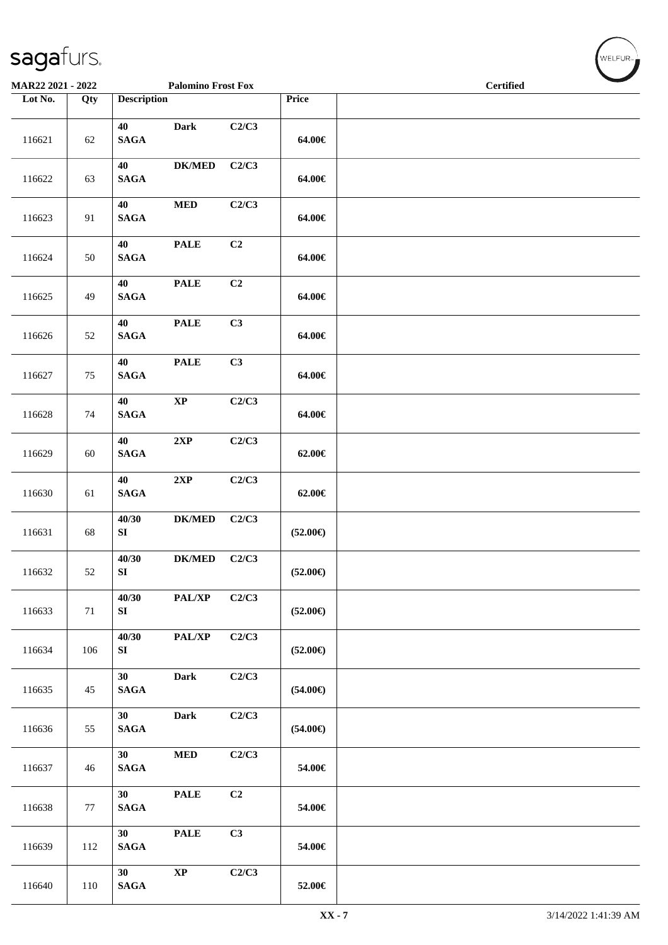| MAR22 2021 - 2022 |        |                           | <b>Palomino Frost Fox</b> |       |                   | <b>Certified</b> | $\overline{\phantom{a}}$ |
|-------------------|--------|---------------------------|---------------------------|-------|-------------------|------------------|--------------------------|
| Lot No.           | Qty    | <b>Description</b>        |                           |       | Price             |                  |                          |
| 116621            | 62     | 40<br><b>SAGA</b>         | Dark                      | C2/C3 | 64.00€            |                  |                          |
| 116622            | 63     | 40<br><b>SAGA</b>         | <b>DK/MED</b>             | C2/C3 | 64.00€            |                  |                          |
| 116623            | 91     | 40<br><b>SAGA</b>         | <b>MED</b>                | C2/C3 | 64.00€            |                  |                          |
| 116624            | 50     | 40<br><b>SAGA</b>         | <b>PALE</b>               | C2    | 64.00€            |                  |                          |
| 116625            | 49     | 40<br>$\mathbf{SAGA}$     | <b>PALE</b>               | C2    | 64.00€            |                  |                          |
| 116626            | 52     | 40<br>$\mathbf{SAGA}$     | <b>PALE</b>               | C3    | 64.00€            |                  |                          |
| 116627            | 75     | 40<br>$\mathbf{SAGA}$     | <b>PALE</b>               | C3    | 64.00€            |                  |                          |
| 116628            | 74     | 40<br><b>SAGA</b>         | $\bold{XP}$               | C2/C3 | 64.00€            |                  |                          |
| 116629            | 60     | 40<br><b>SAGA</b>         | 2XP                       | C2/C3 | $62.00 \in$       |                  |                          |
| 116630            | 61     | 40<br><b>SAGA</b>         | 2XP                       | C2/C3 | $62.00 \in$       |                  |                          |
| 116631            | 68     | 40/30<br>${\bf S}{\bf I}$ | <b>DK/MED</b>             | C2/C3 | $(52.00\epsilon)$ |                  |                          |
| 116632            | 52     | 40/30<br>${\bf S}{\bf I}$ | <b>DK/MED</b>             | C2/C3 | $(52.00\epsilon)$ |                  |                          |
| 116633            | $71\,$ | 40/30<br>${\bf S}{\bf I}$ | PAL/XP                    | C2/C3 | $(52.00\epsilon)$ |                  |                          |
| 116634            | 106    | 40/30<br>${\bf S}{\bf I}$ | PAL/XP                    | C2/C3 | $(52.00\epsilon)$ |                  |                          |
| 116635            | 45     | 30<br><b>SAGA</b>         | Dark                      | C2/C3 | $(54.00\epsilon)$ |                  |                          |
| 116636            | 55     | 30<br>$\mathbf{SAGA}$     | Dark                      | C2/C3 | $(54.00\epsilon)$ |                  |                          |
| 116637            | 46     | 30<br><b>SAGA</b>         | <b>MED</b>                | C2/C3 | 54.00€            |                  |                          |
| 116638            | 77     | 30<br>$\mathbf{SAGA}$     | <b>PALE</b>               | C2    | 54.00€            |                  |                          |
| 116639            | 112    | 30<br>$\mathbf{SAGA}$     | <b>PALE</b>               | C3    | 54.00€            |                  |                          |
| 116640            | 110    | 30<br>$\mathbf{SAGA}$     | $\mathbf{X}\mathbf{P}$    | C2/C3 | 52.00€            |                  |                          |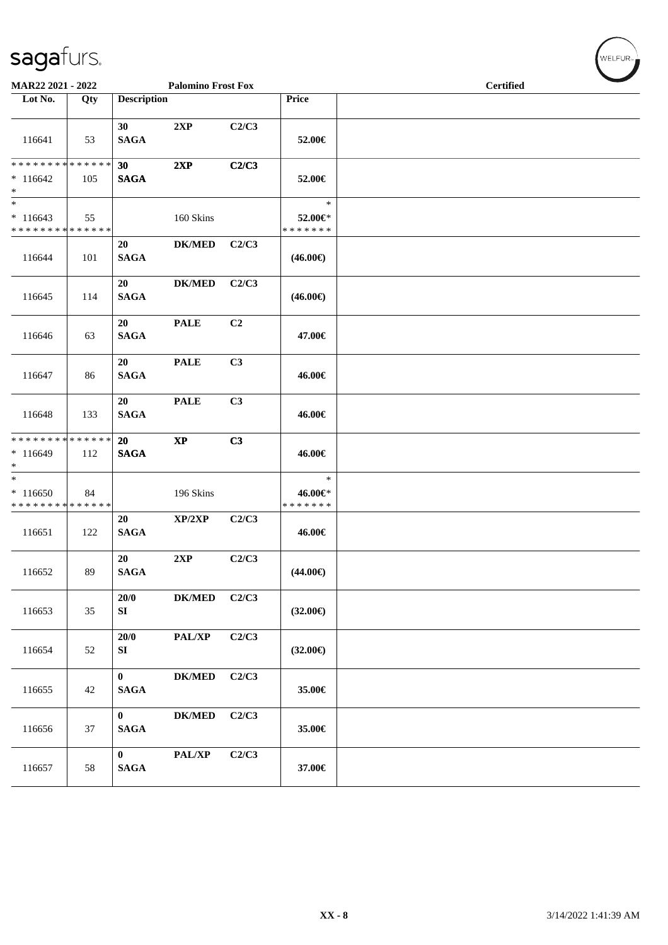| MAR22 2021 - 2022                                                      |     |                          | <b>Palomino Frost Fox</b> |                |                                    | <b>Certified</b> |  |
|------------------------------------------------------------------------|-----|--------------------------|---------------------------|----------------|------------------------------------|------------------|--|
| Lot No.                                                                | Qty | <b>Description</b>       |                           |                | Price                              |                  |  |
| 116641                                                                 | 53  | 30<br><b>SAGA</b>        | 2XP                       | C2/C3          | 52.00€                             |                  |  |
| * * * * * * * * * * * * * *<br>$*116642$<br>$\ast$                     | 105 | 30<br><b>SAGA</b>        | 2XP                       | C2/C3          | 52.00€                             |                  |  |
| $\ast$<br>$*116643$<br>* * * * * * * * * * * * * *                     | 55  |                          | 160 Skins                 |                | $\ast$<br>52.00€*<br>* * * * * * * |                  |  |
| 116644                                                                 | 101 | 20<br><b>SAGA</b>        | <b>DK/MED</b>             | C2/C3          | $(46.00\epsilon)$                  |                  |  |
| 116645                                                                 | 114 | 20<br><b>SAGA</b>        | <b>DK/MED</b>             | C2/C3          | $(46.00\epsilon)$                  |                  |  |
| 116646                                                                 | 63  | 20<br><b>SAGA</b>        | <b>PALE</b>               | C <sub>2</sub> | 47.00€                             |                  |  |
| 116647                                                                 | 86  | 20<br><b>SAGA</b>        | <b>PALE</b>               | C3             | 46.00€                             |                  |  |
| 116648                                                                 | 133 | 20<br><b>SAGA</b>        | <b>PALE</b>               | C3             | 46.00€                             |                  |  |
| ******** <mark>******</mark><br>$*116649$<br>$\ast$                    | 112 | <b>20</b><br><b>SAGA</b> | $\mathbf{X}\mathbf{P}$    | C3             | 46.00€                             |                  |  |
| $\overline{\phantom{a}^*}$<br>$*116650$<br>* * * * * * * * * * * * * * | 84  |                          | 196 Skins                 |                | $\ast$<br>46.00€*<br>* * * * * * * |                  |  |
| 116651                                                                 | 122 | 20<br><b>SAGA</b>        | XP/2XP                    | C2/C3          | 46.00€                             |                  |  |
| 116652                                                                 | 89  | 20<br><b>SAGA</b>        | 2XP                       | C2/C3          | $(44.00\epsilon)$                  |                  |  |
| 116653                                                                 | 35  | 20/0<br>${\bf S}{\bf I}$ | $DK/MED$                  | C2/C3          | $(32.00\epsilon)$                  |                  |  |
| 116654                                                                 | 52  | 20/0<br>${\bf S}{\bf I}$ | PAL/XP                    | C2/C3          | $(32.00\epsilon)$                  |                  |  |
| 116655                                                                 | 42  | $\bf{0}$<br><b>SAGA</b>  | <b>DK/MED</b>             | C2/C3          | 35.00€                             |                  |  |
| 116656                                                                 | 37  | $\bf{0}$<br><b>SAGA</b>  | <b>DK/MED</b>             | C2/C3          | 35.00€                             |                  |  |
| 116657                                                                 | 58  | $\bf{0}$<br><b>SAGA</b>  | PAL/XP                    | C2/C3          | 37.00€                             |                  |  |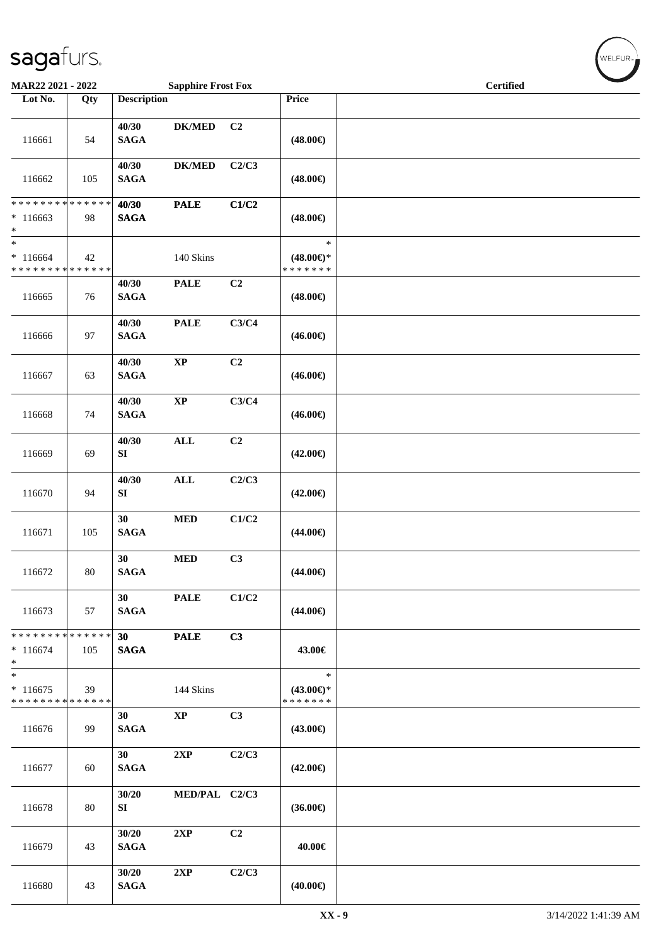| MAR22 2021 - 2022                                   |     |                      | <b>Sapphire Frost Fox</b> |                |                                                | <b>Certified</b> |  |
|-----------------------------------------------------|-----|----------------------|---------------------------|----------------|------------------------------------------------|------------------|--|
| Lot No.                                             | Qty | <b>Description</b>   |                           |                | Price                                          |                  |  |
| 116661                                              | 54  | 40/30<br><b>SAGA</b> | <b>DK/MED</b>             | C <sub>2</sub> | $(48.00\epsilon)$                              |                  |  |
| 116662                                              | 105 | 40/30<br><b>SAGA</b> | <b>DK/MED</b>             | C2/C3          | $(48.00\epsilon)$                              |                  |  |
| ******** <mark>******</mark><br>$*116663$<br>$\ast$ | 98  | 40/30<br><b>SAGA</b> | <b>PALE</b>               | C1/C2          | $(48.00\epsilon)$                              |                  |  |
| $\ast$<br>$*116664$<br>* * * * * * * * * * * * * *  | 42  |                      | 140 Skins                 |                | $\ast$<br>$(48.00\epsilon)$ *<br>* * * * * * * |                  |  |
| 116665                                              | 76  | 40/30<br><b>SAGA</b> | <b>PALE</b>               | C <sub>2</sub> | $(48.00\epsilon)$                              |                  |  |
| 116666                                              | 97  | 40/30<br><b>SAGA</b> | <b>PALE</b>               | C3/C4          | $(46.00\epsilon)$                              |                  |  |
| 116667                                              | 63  | 40/30<br><b>SAGA</b> | $\bold{XP}$               | C2             | $(46.00\epsilon)$                              |                  |  |
| 116668                                              | 74  | 40/30<br><b>SAGA</b> | $\bold{XP}$               | C3/C4          | $(46.00\epsilon)$                              |                  |  |
| 116669                                              | 69  | 40/30<br>SI          | <b>ALL</b>                | C <sub>2</sub> | $(42.00\epsilon)$                              |                  |  |
| 116670                                              | 94  | 40/30<br>SI          | <b>ALL</b>                | C2/C3          | $(42.00\epsilon)$                              |                  |  |
| 116671                                              | 105 | 30<br><b>SAGA</b>    | $\bf MED$                 | C1/C2          | $(44.00\epsilon)$                              |                  |  |
| 116672                                              | 80  | 30<br><b>SAGA</b>    | $\bf MED$                 | C3             | $(44.00\epsilon)$                              |                  |  |
| 116673                                              | 57  | 30<br><b>SAGA</b>    | <b>PALE</b>               | C1/C2          | $(44.00\epsilon)$                              |                  |  |
| * * * * * * * * * * * * * *<br>$*116674$<br>$\ast$  | 105 | 30<br><b>SAGA</b>    | <b>PALE</b>               | C3             | 43.00€                                         |                  |  |
| $\ast$<br>$*116675$<br>* * * * * * * * * * * * * *  | 39  |                      | 144 Skins                 |                | $\ast$<br>$(43.00€)$ *<br>* * * * * * *        |                  |  |
| 116676                                              | 99  | 30<br><b>SAGA</b>    | <b>XP</b>                 | C3             | $(43.00\epsilon)$                              |                  |  |
| 116677                                              | 60  | 30<br><b>SAGA</b>    | 2XP                       | C2/C3          | $(42.00\epsilon)$                              |                  |  |
| 116678                                              | 80  | 30/20<br>SI          | MED/PAL C2/C3             |                | $(36.00\epsilon)$                              |                  |  |
| 116679                                              | 43  | 30/20<br><b>SAGA</b> | 2XP                       | C2             | 40.00€                                         |                  |  |
| 116680                                              | 43  | 30/20<br><b>SAGA</b> | 2XP                       | C2/C3          | $(40.00\epsilon)$                              |                  |  |

 $(w$ ELFUR-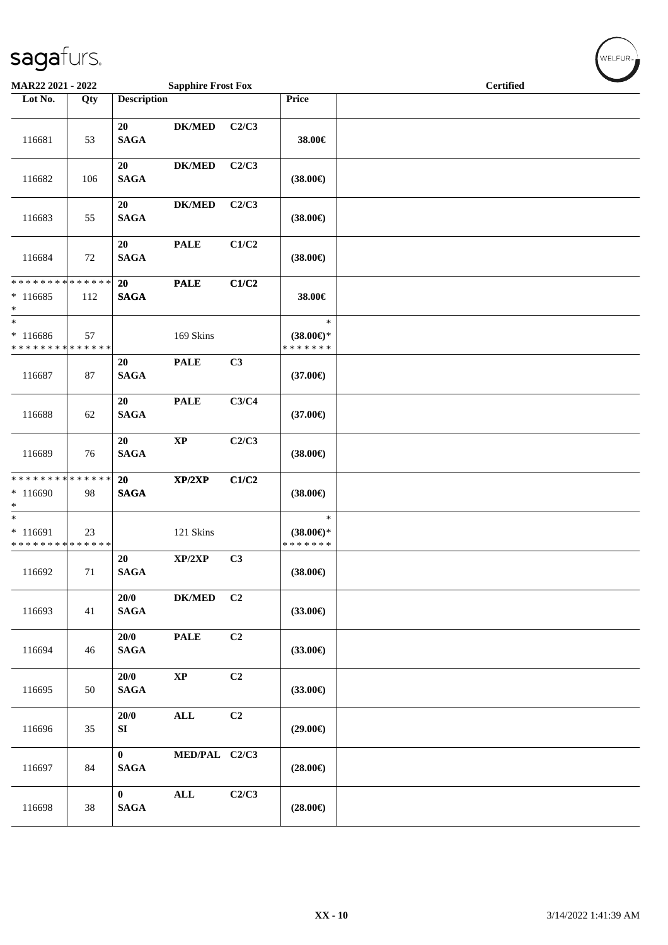|                                                                   | <b>Sapphire Frost Fox</b><br><b>MAR22 2021 - 2022</b> |                             |                | <b>Certified</b> | $\overline{\phantom{a}}$                       |  |  |
|-------------------------------------------------------------------|-------------------------------------------------------|-----------------------------|----------------|------------------|------------------------------------------------|--|--|
| Lot No.                                                           | Qty                                                   | <b>Description</b>          |                |                  | Price                                          |  |  |
| 116681                                                            | 53                                                    | 20<br><b>SAGA</b>           | <b>DK/MED</b>  | C2/C3            | 38.00€                                         |  |  |
| 116682                                                            | 106                                                   | 20<br><b>SAGA</b>           | <b>DK/MED</b>  | C2/C3            | $(38.00\epsilon)$                              |  |  |
| 116683                                                            | 55                                                    | 20<br><b>SAGA</b>           | <b>DK/MED</b>  | C2/C3            | $(38.00\epsilon)$                              |  |  |
| 116684                                                            | 72                                                    | 20<br><b>SAGA</b>           | <b>PALE</b>    | C1/C2            | $(38.00\epsilon)$                              |  |  |
| * * * * * * * * * * * * * * *<br>$*116685$<br>$\ast$              | 112                                                   | 20<br><b>SAGA</b>           | <b>PALE</b>    | C1/C2            | 38.00€                                         |  |  |
| $\ast$<br>$*116686$<br>* * * * * * * * * * * * * *                | 57                                                    |                             | 169 Skins      |                  | $\ast$<br>$(38.00\epsilon)$ *<br>* * * * * * * |  |  |
| 116687                                                            | 87                                                    | 20<br><b>SAGA</b>           | <b>PALE</b>    | C3               | $(37.00\epsilon)$                              |  |  |
| 116688                                                            | 62                                                    | 20<br><b>SAGA</b>           | <b>PALE</b>    | C3/C4            | $(37.00\epsilon)$                              |  |  |
| 116689                                                            | 76                                                    | 20<br><b>SAGA</b>           | $\mathbf{XP}$  | C2/C3            | $(38.00\epsilon)$                              |  |  |
| * * * * * * * * <mark>* * * * * * *</mark><br>$*116690$<br>$\ast$ | 98                                                    | 20<br><b>SAGA</b>           | XP/2XP         | C1/C2            | $(38.00\epsilon)$                              |  |  |
| $* 116691$<br>* * * * * * * * <mark>* * * * * * *</mark>          | 23                                                    |                             | 121 Skins      |                  | $\ast$<br>$(38.00\epsilon)$ *<br>* * * * * * * |  |  |
| 116692                                                            | 71                                                    | 20<br><b>SAGA</b>           | XP/2XP         | C3               | $(38.00\epsilon)$                              |  |  |
| 116693                                                            | 41                                                    | 20/0<br><b>SAGA</b>         | $DK/MED$       | C <sub>2</sub>   | $(33.00\epsilon)$                              |  |  |
| 116694                                                            | 46                                                    | 20/0<br><b>SAGA</b>         | <b>PALE</b>    | C2               | $(33.00\epsilon)$                              |  |  |
| 116695                                                            | 50                                                    | 20/0<br><b>SAGA</b>         | $\bold{XP}$    | C <sub>2</sub>   | $(33.00\epsilon)$                              |  |  |
| 116696                                                            | 35                                                    | 20/0<br>SI                  | $\mathbf{ALL}$ | C2               | $(29.00\epsilon)$                              |  |  |
| 116697                                                            | 84                                                    | $\bf{0}$<br><b>SAGA</b>     | MED/PAL C2/C3  |                  | $(28.00\epsilon)$                              |  |  |
| 116698                                                            | 38                                                    | $\bf{0}$<br>$\mathbf{SAGA}$ | $\mathbf{ALL}$ | C2/C3            | $(28.00\epsilon)$                              |  |  |

WELFUR<sub><sup>N</sub></sub></sub></sup>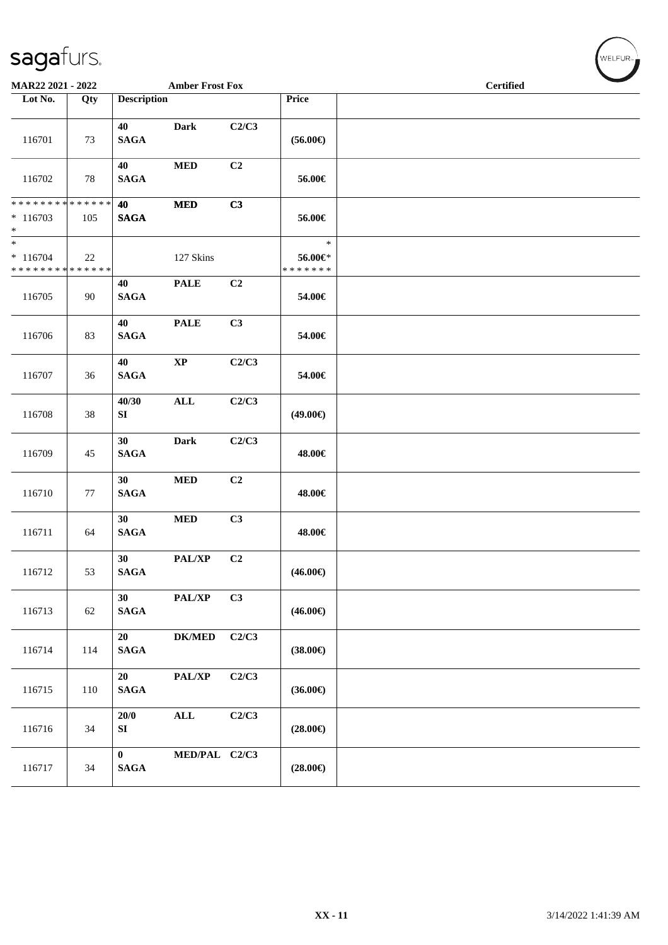| MAR22 2021 - 2022<br><b>Amber Frost Fox</b>         |     |                             |                            | <b>Certified</b> |                                    |  |  |  |
|-----------------------------------------------------|-----|-----------------------------|----------------------------|------------------|------------------------------------|--|--|--|
| Lot No.                                             | Qty | <b>Description</b>          |                            |                  | Price                              |  |  |  |
| 116701                                              | 73  | 40<br><b>SAGA</b>           | <b>Dark</b>                | C2/C3            | $(56.00\epsilon)$                  |  |  |  |
| 116702                                              | 78  | 40<br><b>SAGA</b>           | $\bf MED$                  | C <sub>2</sub>   | 56.00€                             |  |  |  |
| ******** <mark>******</mark><br>$*116703$<br>$*$    | 105 | 40<br><b>SAGA</b>           | $\bf MED$                  | C3               | 56.00€                             |  |  |  |
| $\ast$<br>$* 116704$<br>* * * * * * * * * * * * * * | 22  |                             | 127 Skins                  |                  | $\ast$<br>56.00€*<br>* * * * * * * |  |  |  |
| 116705                                              | 90  | 40<br><b>SAGA</b>           | <b>PALE</b>                | C <sub>2</sub>   | 54.00€                             |  |  |  |
| 116706                                              | 83  | 40<br>$\mathbf{SAGA}$       | <b>PALE</b>                | C3               | 54.00€                             |  |  |  |
| 116707                                              | 36  | 40<br><b>SAGA</b>           | $\bold{XP}$                | C2/C3            | 54.00€                             |  |  |  |
| 116708                                              | 38  | 40/30<br>SI                 | <b>ALL</b>                 | C2/C3            | $(49.00\epsilon)$                  |  |  |  |
| 116709                                              | 45  | 30<br><b>SAGA</b>           | <b>Dark</b>                | C2/C3            | 48.00€                             |  |  |  |
| 116710                                              | 77  | 30<br><b>SAGA</b>           | $\bf MED$                  | C2               | 48.00€                             |  |  |  |
| 116711                                              | 64  | 30<br><b>SAGA</b>           | $\bf MED$                  | C3               | 48.00€                             |  |  |  |
| 116712                                              | 53  | 30<br><b>SAGA</b>           | PAL/XP                     | C2               | $(46.00\epsilon)$                  |  |  |  |
| 116713                                              | 62  | 30<br><b>SAGA</b>           | $\mathbf{PAL}/\mathbf{XP}$ | C3               | $(46.00\epsilon)$                  |  |  |  |
| 116714                                              | 114 | 20<br><b>SAGA</b>           | $\mathbf{DK}/\mathbf{MED}$ | C2/C3            | $(38.00\epsilon)$                  |  |  |  |
| 116715                                              | 110 | 20<br><b>SAGA</b>           | $\mathbf{PAL}/\mathbf{XP}$ | C2/C3            | $(36.00\epsilon)$                  |  |  |  |
| 116716                                              | 34  | 20/0<br>SI                  | $\mathbf{ALL}$             | C2/C3            | $(28.00\epsilon)$                  |  |  |  |
| 116717                                              | 34  | $\bf{0}$<br>$\mathbf{SAGA}$ | MED/PAL C2/C3              |                  | $(28.00\in)$                       |  |  |  |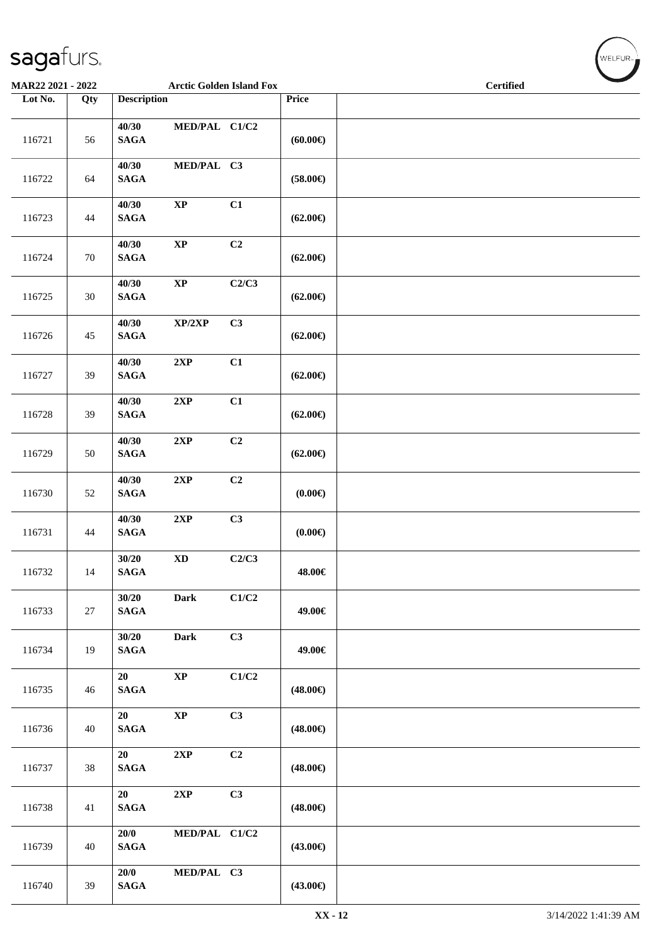| MAR22 2021 - 2022<br><b>Arctic Golden Island Fox</b> |     |                          |                        |       | <b>Certified</b>  |  |  |
|------------------------------------------------------|-----|--------------------------|------------------------|-------|-------------------|--|--|
| Lot No.                                              | Qty | <b>Description</b>       |                        |       | Price             |  |  |
| 116721                                               | 56  | 40/30<br><b>SAGA</b>     | MED/PAL C1/C2          |       | (60.00)           |  |  |
| 116722                                               | 64  | 40/30<br>$\mathbf{SAGA}$ | MED/PAL C3             |       | $(58.00\epsilon)$ |  |  |
| 116723                                               | 44  | 40/30<br>$\mathbf{SAGA}$ | $\bold{XP}$            | C1    | $(62.00\epsilon)$ |  |  |
| 116724                                               | 70  | 40/30<br><b>SAGA</b>     | $\bold{XP}$            | C2    | $(62.00\epsilon)$ |  |  |
| 116725                                               | 30  | 40/30<br>$\mathbf{SAGA}$ | $\bold{XP}$            | C2/C3 | $(62.00\epsilon)$ |  |  |
| 116726                                               | 45  | 40/30<br><b>SAGA</b>     | XP/2XP                 | C3    | $(62.00\epsilon)$ |  |  |
| 116727                                               | 39  | 40/30<br>$\mathbf{SAGA}$ | $2{\bf XP}$            | C1    | $(62.00\epsilon)$ |  |  |
| 116728                                               | 39  | 40/30<br>$\mathbf{SAGA}$ | $2{\bf XP}$            | C1    | $(62.00\epsilon)$ |  |  |
| 116729                                               | 50  | 40/30<br>$\mathbf{SAGA}$ | 2XP                    | C2    | $(62.00\epsilon)$ |  |  |
| 116730                                               | 52  | 40/30<br><b>SAGA</b>     | 2XP                    | C2    | (0.00)            |  |  |
| 116731                                               | 44  | 40/30<br>$\mathbf{SAGA}$ | $2{\bf XP}$            | C3    | (0.00)            |  |  |
| 116732                                               | 14  | 30/20<br><b>SAGA</b>     | $\mathbf{X}\mathbf{D}$ | C2/C3 | 48.00€            |  |  |
| 116733                                               | 27  | 30/20<br><b>SAGA</b>     | Dark                   | C1/C2 | 49.00€            |  |  |
| 116734                                               | 19  | 30/20<br>$\mathbf{SAGA}$ | Dark                   | C3    | 49.00€            |  |  |
| 116735                                               | 46  | 20<br>$\mathbf{SAGA}$    | $\bold{XP}$            | C1/C2 | $(48.00\epsilon)$ |  |  |
| 116736                                               | 40  | 20<br><b>SAGA</b>        | $\bold{XP}$            | C3    | $(48.00\epsilon)$ |  |  |
| 116737                                               | 38  | 20<br><b>SAGA</b>        | 2XP                    | C2    | $(48.00\epsilon)$ |  |  |
| 116738                                               | 41  | 20<br><b>SAGA</b>        | 2XP                    | C3    | $(48.00\epsilon)$ |  |  |
| 116739                                               | 40  | 20/0<br><b>SAGA</b>      | MED/PAL C1/C2          |       | $(43.00\epsilon)$ |  |  |
| 116740                                               | 39  | 20/0<br>$\mathbf{SAGA}$  | MED/PAL C3             |       | $(43.00\epsilon)$ |  |  |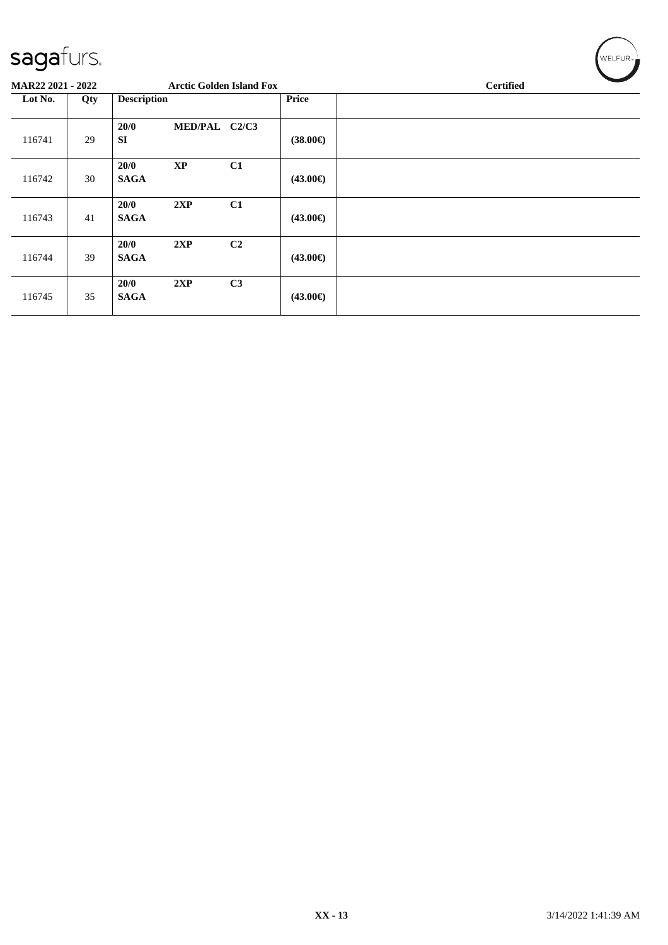| <b>MAR22 2021 - 2022</b><br><b>Arctic Golden Island Fox</b> |     |                     |               |                |                   | <b>Certified</b> |  |  |  |  |  |
|-------------------------------------------------------------|-----|---------------------|---------------|----------------|-------------------|------------------|--|--|--|--|--|
| Lot No.                                                     | Qty | <b>Description</b>  |               |                | Price             |                  |  |  |  |  |  |
| 116741                                                      | 29  | 20/0<br><b>SI</b>   | MED/PAL C2/C3 |                | $(38.00\epsilon)$ |                  |  |  |  |  |  |
| 116742                                                      | 30  | 20/0<br><b>SAGA</b> | <b>XP</b>     | C1             | $(43.00\epsilon)$ |                  |  |  |  |  |  |
| 116743                                                      | 41  | 20/0<br><b>SAGA</b> | 2XP           | C1             | $(43.00\epsilon)$ |                  |  |  |  |  |  |
| 116744                                                      | 39  | 20/0<br><b>SAGA</b> | 2XP           | C <sub>2</sub> | $(43.00\epsilon)$ |                  |  |  |  |  |  |
| 116745                                                      | 35  | 20/0<br><b>SAGA</b> | 2XP           | C3             | $(43.00\epsilon)$ |                  |  |  |  |  |  |

 $\left(\mathsf{WELFUR}_{\approx}\right)$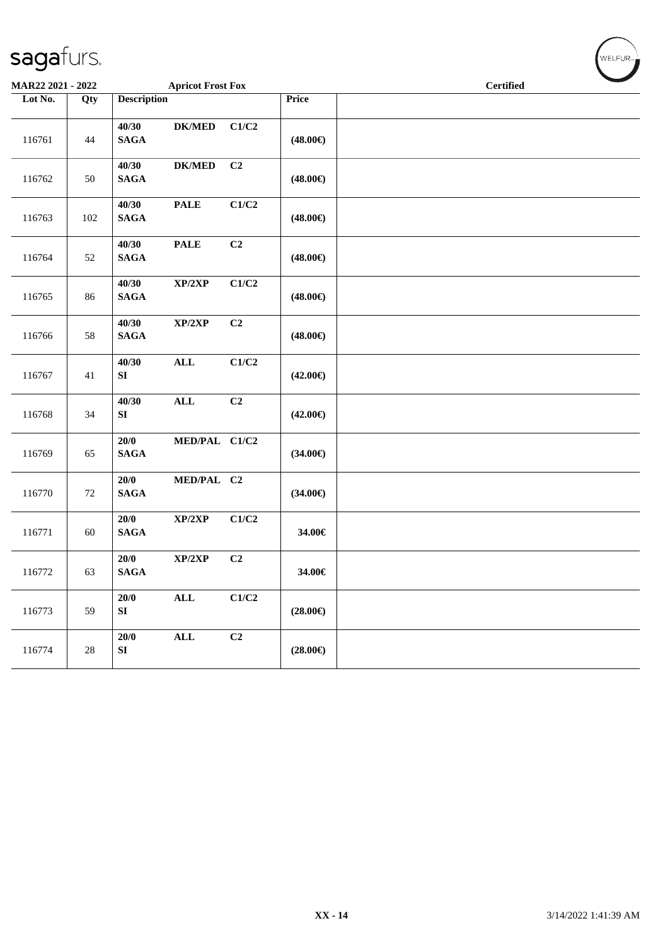| MAR22 2021 - 2022 |        |                                                    | <b>Apricot Frost Fox</b> |                   | $\sim$<br><b>Certified</b> |
|-------------------|--------|----------------------------------------------------|--------------------------|-------------------|----------------------------|
| Lot No.           | Qty    | <b>Description</b>                                 |                          | Price             |                            |
| 116761            | 44     | 40/30<br><b>DK/MED</b><br><b>SAGA</b>              | C1/C2                    | $(48.00\epsilon)$ |                            |
| 116762            | 50     | 40/30<br>$\mathbf{DK}/\mathbf{MED}$<br><b>SAGA</b> | C2                       | $(48.00\epsilon)$ |                            |
| 116763            | 102    | 40/30<br><b>PALE</b><br><b>SAGA</b>                | C1/C2                    | $(48.00\epsilon)$ |                            |
| 116764            | 52     | 40/30<br><b>PALE</b><br>$\mathbf{SAGA}$            | C <sub>2</sub>           | $(48.00\epsilon)$ |                            |
| 116765            | 86     | 40/30<br>XP/2XP<br><b>SAGA</b>                     | C1/C2                    | $(48.00\epsilon)$ |                            |
| 116766            | 58     | 40/30<br>XP/2XP<br><b>SAGA</b>                     | C2                       | $(48.00\epsilon)$ |                            |
| 116767            | 41     | 40/30<br>$\mathbf{ALL}$<br>SI                      | C1/C2                    | $(42.00\epsilon)$ |                            |
| 116768            | 34     | $\mathbf{ALL}$<br>40/30<br>SI                      | C <sub>2</sub>           | $(42.00\epsilon)$ |                            |
| 116769            | 65     | 20/0<br><b>SAGA</b>                                | MED/PAL C1/C2            | $(34.00\epsilon)$ |                            |
| 116770            | 72     | $20/0$<br>$\mathbf{SAGA}$                          | MED/PAL C2               | $(34.00\epsilon)$ |                            |
| 116771            | 60     | $20/0$<br>XP/2XP<br><b>SAGA</b>                    | C1/C2                    | 34.00€            |                            |
| 116772            | 63     | 20/0<br>XP/2XP<br><b>SAGA</b>                      | C2                       | 34.00€            |                            |
| 116773            | 59     | $\mathbf{ALL}$<br>20/0<br>SI                       | C1/C2                    | $(28.00\epsilon)$ |                            |
| 116774            | $28\,$ | 20/0<br>$\mathbf{ALL}$<br>SI                       | C2                       | $(28.00\epsilon)$ |                            |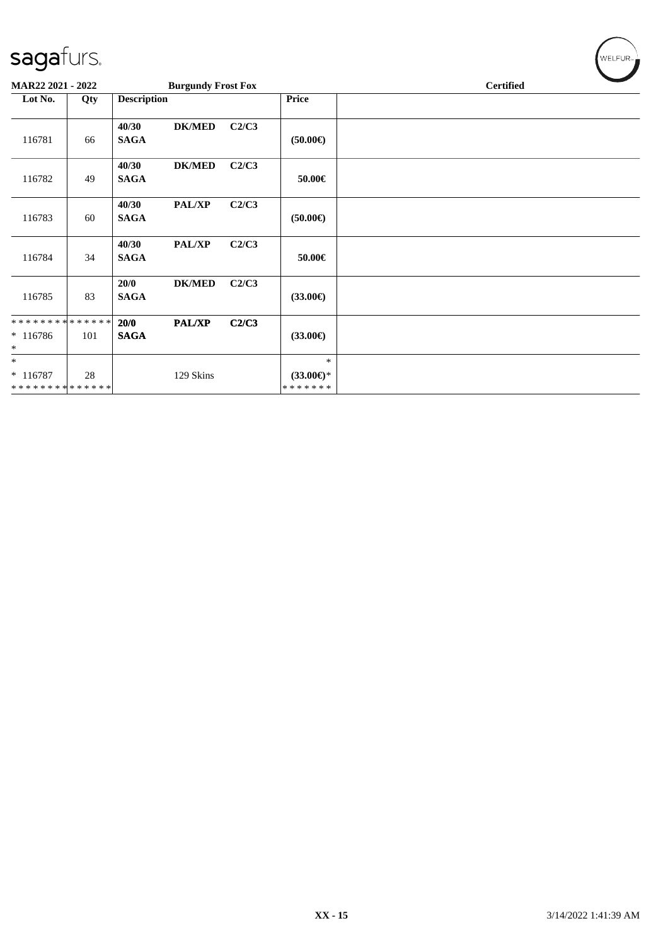| MAR22 2021 - 2022                                   |     |                                       | <b>Burgundy Frost Fox</b> |                                                | <b>Certified</b> |  |  |
|-----------------------------------------------------|-----|---------------------------------------|---------------------------|------------------------------------------------|------------------|--|--|
| Lot No.                                             | Qty | <b>Description</b>                    |                           | <b>Price</b>                                   |                  |  |  |
| 116781                                              | 66  | 40/30<br><b>DK/MED</b><br><b>SAGA</b> | C2/C3                     | $(50.00\epsilon)$                              |                  |  |  |
| 116782                                              | 49  | 40/30<br><b>DK/MED</b><br><b>SAGA</b> | C2/C3                     | 50.00€                                         |                  |  |  |
| 116783                                              | 60  | <b>PAL/XP</b><br>40/30<br><b>SAGA</b> | C2/C3                     | $(50.00\epsilon)$                              |                  |  |  |
| 116784                                              | 34  | <b>PAL/XP</b><br>40/30<br><b>SAGA</b> | C2/C3                     | 50.00€                                         |                  |  |  |
| 116785                                              | 83  | 20/0<br><b>DK/MED</b><br><b>SAGA</b>  | C2/C3                     | $(33.00\epsilon)$                              |                  |  |  |
| * * * * * * * * * * * * * *<br>$*116786$<br>$\ast$  | 101 | <b>PAL/XP</b><br>20/0<br><b>SAGA</b>  | C2/C3                     | $(33.00\epsilon)$                              |                  |  |  |
| $\ast$<br>$* 116787$<br>* * * * * * * * * * * * * * | 28  | 129 Skins                             |                           | $\ast$<br>$(33.00\epsilon)$ *<br>* * * * * * * |                  |  |  |

 $(\forall ELFUR_{\approx})$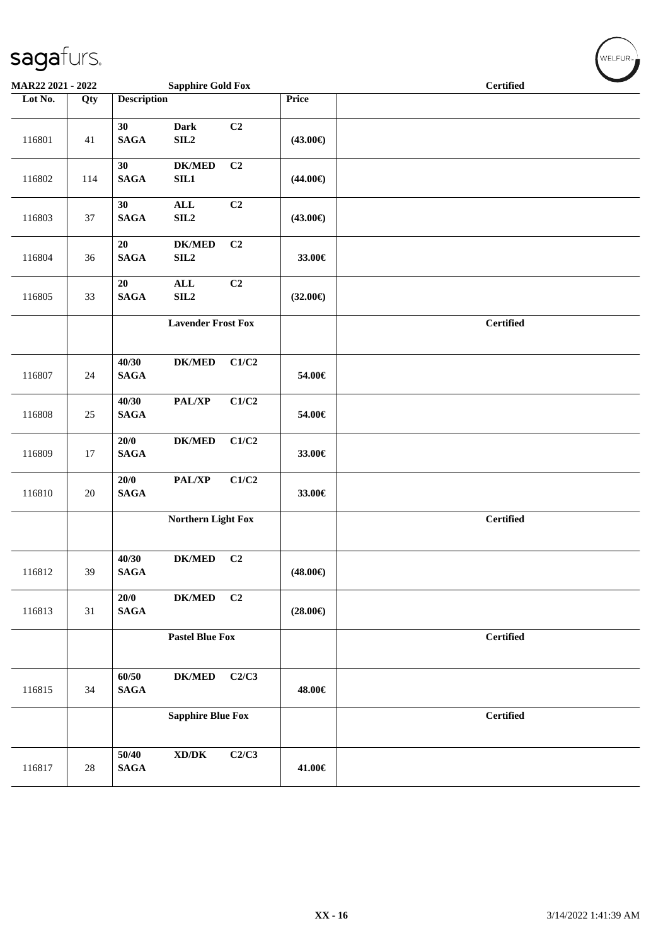| MAR22 2021 - 2022 |        |                       | <b>Sapphire Gold Fox</b>            |                |                   | <b>Certified</b> |  |  |  |
|-------------------|--------|-----------------------|-------------------------------------|----------------|-------------------|------------------|--|--|--|
| Lot No.           | Qty    | <b>Description</b>    |                                     |                | Price             |                  |  |  |  |
| 116801            | 41     | 30<br>$\mathbf{SAGA}$ | <b>Dark</b><br>SLL2                 | C2             | $(43.00\epsilon)$ |                  |  |  |  |
| 116802            | 114    | 30<br>$\mathbf{SAGA}$ | $DK/MED$<br>SIL1                    | C <sub>2</sub> | $(44.00\epsilon)$ |                  |  |  |  |
| 116803            | 37     | 30<br>$\mathbf{SAGA}$ | <b>ALL</b><br>SLL2                  | C2             | $(43.00\epsilon)$ |                  |  |  |  |
| 116804            | 36     | 20<br><b>SAGA</b>     | $DK/MED$<br>SLL2                    | C2             | 33.00€            |                  |  |  |  |
| 116805            | 33     | 20<br>$\mathbf{SAGA}$ | <b>ALL</b><br>SL2                   | C2             | $(32.00\epsilon)$ |                  |  |  |  |
|                   |        |                       | <b>Lavender Frost Fox</b>           |                |                   | <b>Certified</b> |  |  |  |
| 116807            | 24     | 40/30<br><b>SAGA</b>  | $DK/MED$                            | C1/C2          | 54.00€            |                  |  |  |  |
| 116808            | 25     | 40/30<br><b>SAGA</b>  | PAL/XP                              | C1/C2          | 54.00€            |                  |  |  |  |
| 116809            | 17     | 20/0<br><b>SAGA</b>   | <b>DK/MED</b>                       | C1/C2          | 33.00€            |                  |  |  |  |
| 116810            | $20\,$ | 20/0<br><b>SAGA</b>   | PAL/XP                              | C1/C2          | 33.00€            |                  |  |  |  |
|                   |        |                       | <b>Northern Light Fox</b>           |                |                   | <b>Certified</b> |  |  |  |
| 116812            | 39     | 40/30<br><b>SAGA</b>  | <b>DK/MED</b>                       | C2             | $(48.00\epsilon)$ |                  |  |  |  |
| 116813            | 31     | 20/0<br><b>SAGA</b>   | $\mathbf{DK}/\mathbf{MED}$          | C2             | $(28.00\epsilon)$ |                  |  |  |  |
|                   |        |                       | <b>Pastel Blue Fox</b>              |                |                   | <b>Certified</b> |  |  |  |
| 116815            | 34     | 60/50<br><b>SAGA</b>  | <b>DK/MED</b>                       | C2/C3          | 48.00€            |                  |  |  |  |
|                   |        |                       | <b>Sapphire Blue Fox</b>            |                |                   | <b>Certified</b> |  |  |  |
| 116817            | $28\,$ | 50/40<br><b>SAGA</b>  | $\bold{X}\bold{D}/\bold{D}\bold{K}$ | C2/C3          | 41.00€            |                  |  |  |  |